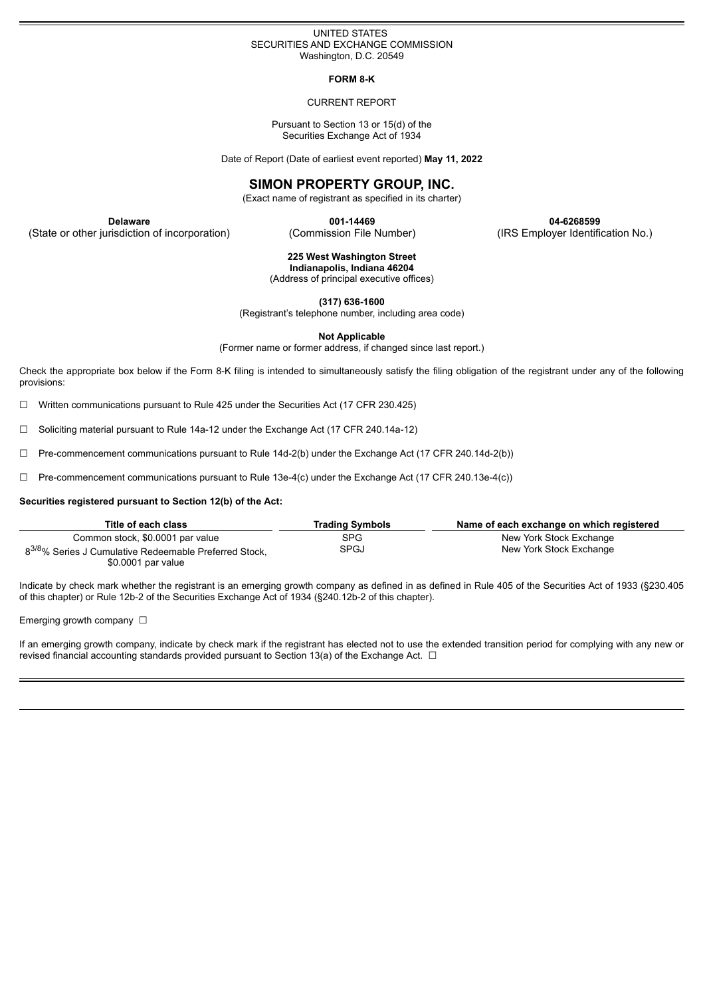## UNITED STATES SECURITIES AND EXCHANGE COMMISSION Washington, D.C. 20549

**FORM 8-K**

#### CURRENT REPORT

Pursuant to Section 13 or 15(d) of the Securities Exchange Act of 1934

Date of Report (Date of earliest event reported) **May 11, 2022**

# **SIMON PROPERTY GROUP, INC.**

(Exact name of registrant as specified in its charter)

(State or other jurisdiction of incorporation) (Commission File Number) (IRS Employer Identification No.)

**Delaware 001-14469 04-6268599**

**225 West Washington Street**

**Indianapolis, Indiana 46204** (Address of principal executive offices)

**(317) 636-1600**

(Registrant's telephone number, including area code)

**Not Applicable**

(Former name or former address, if changed since last report.)

Check the appropriate box below if the Form 8-K filing is intended to simultaneously satisfy the filing obligation of the registrant under any of the following provisions:

 $\Box$  Written communications pursuant to Rule 425 under the Securities Act (17 CFR 230.425)

☐ Soliciting material pursuant to Rule 14a-12 under the Exchange Act (17 CFR 240.14a-12)

☐ Pre-commencement communications pursuant to Rule 14d-2(b) under the Exchange Act (17 CFR 240.14d-2(b))

☐ Pre-commencement communications pursuant to Rule 13e-4(c) under the Exchange Act (17 CFR 240.13e-4(c))

## **Securities registered pursuant to Section 12(b) of the Act:**

| Title of each class                                                | <b>Trading Symbols</b> | Name of each exchange on which registered |
|--------------------------------------------------------------------|------------------------|-------------------------------------------|
| Common stock, \$0,0001 par value                                   | SPG                    | New York Stock Exchange                   |
| 8 <sup>3/8</sup> % Series J Cumulative Redeemable Preferred Stock, | <b>SPGJ</b>            | New York Stock Exchange                   |
| \$0.0001 par value                                                 |                        |                                           |

Indicate by check mark whether the registrant is an emerging growth company as defined in as defined in Rule 405 of the Securities Act of 1933 (§230.405 of this chapter) or Rule 12b-2 of the Securities Exchange Act of 1934 (§240.12b-2 of this chapter).

Emerging growth company  $\Box$ 

If an emerging growth company, indicate by check mark if the registrant has elected not to use the extended transition period for complying with any new or revised financial accounting standards provided pursuant to Section 13(a) of the Exchange Act.  $\Box$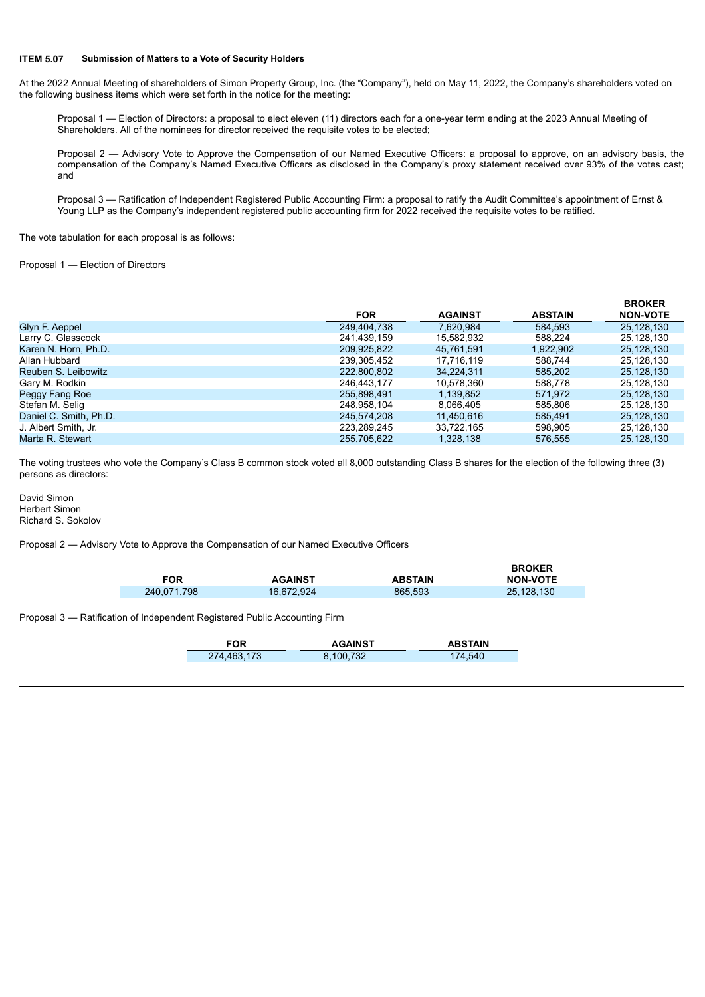## **ITEM 5.07 Submission of Matters to a Vote of Security Holders**

At the 2022 Annual Meeting of shareholders of Simon Property Group, Inc. (the "Company"), held on May 11, 2022, the Company's shareholders voted on the following business items which were set forth in the notice for the meeting:

Proposal 1 — Election of Directors: a proposal to elect eleven (11) directors each for a one-year term ending at the 2023 Annual Meeting of Shareholders. All of the nominees for director received the requisite votes to be elected;

Proposal 2 — Advisory Vote to Approve the Compensation of our Named Executive Officers: a proposal to approve, on an advisory basis, the compensation of the Company's Named Executive Officers as disclosed in the Company's proxy statement received over 93% of the votes cast; and

Proposal 3 — Ratification of Independent Registered Public Accounting Firm: a proposal to ratify the Audit Committee's appointment of Ernst & Young LLP as the Company's independent registered public accounting firm for 2022 received the requisite votes to be ratified.

The vote tabulation for each proposal is as follows:

Proposal 1 — Election of Directors

|                        |             |                |                | <b>BROKER</b>   |
|------------------------|-------------|----------------|----------------|-----------------|
|                        | <b>FOR</b>  | <b>AGAINST</b> | <b>ABSTAIN</b> | <b>NON-VOTE</b> |
| Glyn F. Aeppel         | 249,404,738 | 7.620.984      | 584,593        | 25,128,130      |
| Larry C. Glasscock     | 241.439.159 | 15,582,932     | 588.224        | 25,128,130      |
| Karen N. Horn, Ph.D.   | 209.925.822 | 45.761.591     | 1.922.902      | 25,128,130      |
| Allan Hubbard          | 239,305,452 | 17.716.119     | 588.744        | 25,128,130      |
| Reuben S. Leibowitz    | 222,800,802 | 34,224,311     | 585,202        | 25,128,130      |
| Gary M. Rodkin         | 246,443,177 | 10,578,360     | 588,778        | 25,128,130      |
| Peggy Fang Roe         | 255.898.491 | 1.139.852      | 571.972        | 25,128,130      |
| Stefan M. Selig        | 248,958,104 | 8,066,405      | 585.806        | 25,128,130      |
| Daniel C. Smith, Ph.D. | 245.574.208 | 11,450,616     | 585.491        | 25,128,130      |
| J. Albert Smith, Jr.   | 223.289.245 | 33,722,165     | 598.905        | 25,128,130      |
| Marta R. Stewart       | 255.705.622 | 1.328.138      | 576.555        | 25.128.130      |

The voting trustees who vote the Company's Class B common stock voted all 8,000 outstanding Class B shares for the election of the following three (3) persons as directors:

David Simon Herbert Simon Richard S. Sokolov

Proposal 2 — Advisory Vote to Approve the Compensation of our Named Executive Officers

| FOR         | <b>AGAINST</b> | <b>ABSTAIN</b> | <b>BROKER</b><br><b>NON-VOTE</b> |
|-------------|----------------|----------------|----------------------------------|
| 240.071.798 | 16,672,924     | 865,593        | 25.128.130                       |

Proposal 3 — Ratification of Independent Registered Public Accounting Firm

| <b>FOR</b>  | <b>AGAINST</b> | <b>ABSTAIN</b> |
|-------------|----------------|----------------|
| 274,463,173 | 8.100.732      | 174,540        |